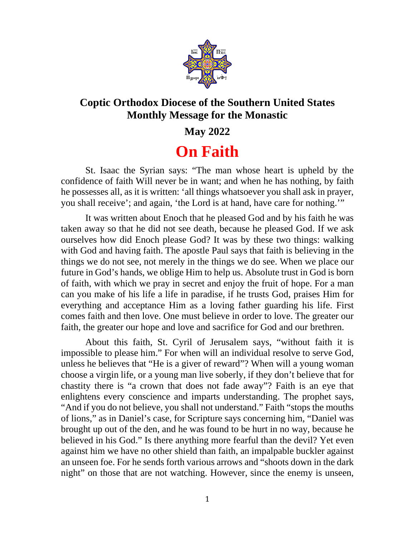

## **Coptic Orthodox Diocese of the Southern United States Monthly Message for the Monastic**

## **May 2022**

## **On Faith**

St. Isaac the Syrian says: "The man whose heart is upheld by the confidence of faith Will never be in want; and when he has nothing, by faith he possesses all, as it is written: 'all things whatsoever you shall ask in prayer, you shall receive'; and again, 'the Lord is at hand, have care for nothing.'"

It was written about Enoch that he pleased God and by his faith he was taken away so that he did not see death, because he pleased God. If we ask ourselves how did Enoch please God? It was by these two things: walking with God and having faith. The apostle Paul says that faith is believing in the things we do not see, not merely in the things we do see. When we place our future in God's hands, we oblige Him to help us. Absolute trust in God is born of faith, with which we pray in secret and enjoy the fruit of hope. For a man can you make of his life a life in paradise, if he trusts God, praises Him for everything and acceptance Him as a loving father guarding his life. First comes faith and then love. One must believe in order to love. The greater our faith, the greater our hope and love and sacrifice for God and our brethren.

About this faith, St. Cyril of Jerusalem says, "without faith it is impossible to please him." For when will an individual resolve to serve God, unless he believes that "He is a giver of reward"? When will a young woman choose a virgin life, or a young man live soberly, if they don't believe that for chastity there is "a crown that does not fade away"? Faith is an eye that enlightens every conscience and imparts understanding. The prophet says, "And if you do not believe, you shall not understand." Faith "stops the mouths of lions," as in Daniel's case, for Scripture says concerning him, "Daniel was brought up out of the den, and he was found to be hurt in no way, because he believed in his God." Is there anything more fearful than the devil? Yet even against him we have no other shield than faith, an impalpable buckler against an unseen foe. For he sends forth various arrows and "shoots down in the dark night" on those that are not watching. However, since the enemy is unseen,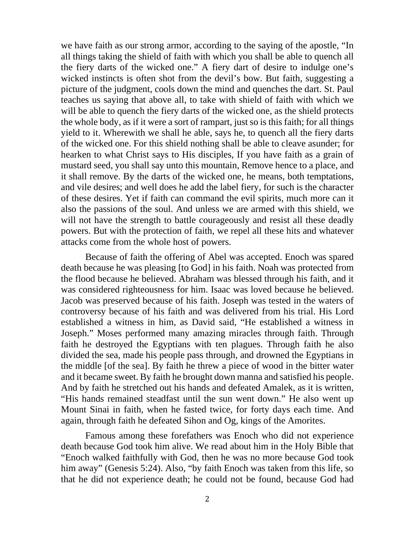we have faith as our strong armor, according to the saying of the apostle, "In all things taking the shield of faith with which you shall be able to quench all the fiery darts of the wicked one." A fiery dart of desire to indulge one's wicked instincts is often shot from the devil's bow. But faith, suggesting a picture of the judgment, cools down the mind and quenches the dart. St. Paul teaches us saying that above all, to take with shield of faith with which we will be able to quench the fiery darts of the wicked one, as the shield protects the whole body, as if it were a sort of rampart, just so is this faith; for all things yield to it. Wherewith we shall he able, says he, to quench all the fiery darts of the wicked one. For this shield nothing shall be able to cleave asunder; for hearken to what Christ says to His disciples, If you have faith as a grain of mustard seed, you shall say unto this mountain, Remove hence to a place, and it shall remove. By the darts of the wicked one, he means, both temptations, and vile desires; and well does he add the label fiery, for such is the character of these desires. Yet if faith can command the evil spirits, much more can it also the passions of the soul. And unless we are armed with this shield, we will not have the strength to battle courageously and resist all these deadly powers. But with the protection of faith, we repel all these hits and whatever attacks come from the whole host of powers.

Because of faith the offering of Abel was accepted. Enoch was spared death because he was pleasing [to God] in his faith. Noah was protected from the flood because he believed. Abraham was blessed through his faith, and it was considered righteousness for him. Isaac was loved because he believed. Jacob was preserved because of his faith. Joseph was tested in the waters of controversy because of his faith and was delivered from his trial. His Lord established a witness in him, as David said, "He established a witness in Joseph." Moses performed many amazing miracles through faith. Through faith he destroyed the Egyptians with ten plagues. Through faith he also divided the sea, made his people pass through, and drowned the Egyptians in the middle [of the sea]. By faith he threw a piece of wood in the bitter water and it became sweet. By faith he brought down manna and satisfied his people. And by faith he stretched out his hands and defeated Amalek, as it is written, "His hands remained steadfast until the sun went down." He also went up Mount Sinai in faith, when he fasted twice, for forty days each time. And again, through faith he defeated Sihon and Og, kings of the Amorites.

Famous among these forefathers was Enoch who did not experience death because God took him alive. We read about him in the Holy Bible that "Enoch walked faithfully with God, then he was no more because God took him away" (Genesis 5:24). Also, "by faith Enoch was taken from this life, so that he did not experience death; he could not be found, because God had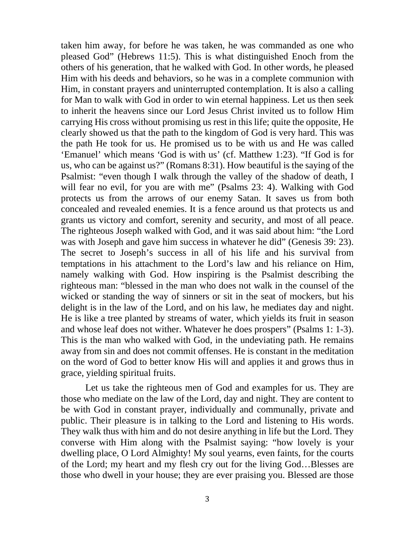taken him away, for before he was taken, he was commanded as one who pleased God" (Hebrews 11:5). This is what distinguished Enoch from the others of his generation, that he walked with God. In other words, he pleased Him with his deeds and behaviors, so he was in a complete communion with Him, in constant prayers and uninterrupted contemplation. It is also a calling for Man to walk with God in order to win eternal happiness. Let us then seek to inherit the heavens since our Lord Jesus Christ invited us to follow Him carrying His cross without promising us rest in this life; quite the opposite, He clearly showed us that the path to the kingdom of God is very hard. This was the path He took for us. He promised us to be with us and He was called 'Emanuel' which means 'God is with us' (cf. Matthew 1:23). "If God is for us, who can be against us?" (Romans 8:31). How beautiful is the saying of the Psalmist: "even though I walk through the valley of the shadow of death, I will fear no evil, for you are with me" (Psalms 23: 4). Walking with God protects us from the arrows of our enemy Satan. It saves us from both concealed and revealed enemies. It is a fence around us that protects us and grants us victory and comfort, serenity and security, and most of all peace. The righteous Joseph walked with God, and it was said about him: "the Lord was with Joseph and gave him success in whatever he did" (Genesis 39: 23). The secret to Joseph's success in all of his life and his survival from temptations in his attachment to the Lord's law and his reliance on Him, namely walking with God. How inspiring is the Psalmist describing the righteous man: "blessed in the man who does not walk in the counsel of the wicked or standing the way of sinners or sit in the seat of mockers, but his delight is in the law of the Lord, and on his law, he mediates day and night. He is like a tree planted by streams of water, which yields its fruit in season and whose leaf does not wither. Whatever he does prospers" (Psalms 1: 1-3). This is the man who walked with God, in the undeviating path. He remains away from sin and does not commit offenses. He is constant in the meditation on the word of God to better know His will and applies it and grows thus in grace, yielding spiritual fruits.

Let us take the righteous men of God and examples for us. They are those who mediate on the law of the Lord, day and night. They are content to be with God in constant prayer, individually and communally, private and public. Their pleasure is in talking to the Lord and listening to His words. They walk thus with him and do not desire anything in life but the Lord. They converse with Him along with the Psalmist saying: "how lovely is your dwelling place, O Lord Almighty! My soul yearns, even faints, for the courts of the Lord; my heart and my flesh cry out for the living God…Blesses are those who dwell in your house; they are ever praising you. Blessed are those